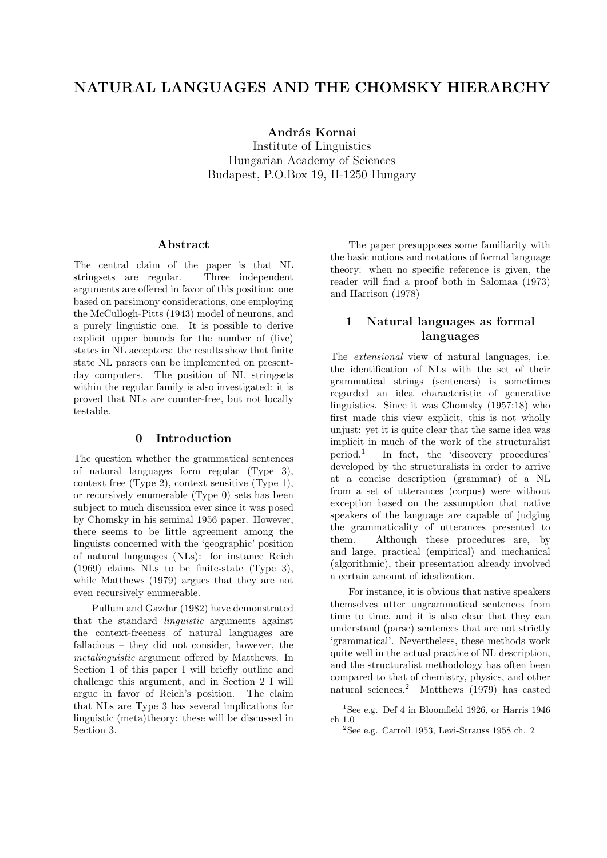# NATURAL LANGUAGES AND THE CHOMSKY HIERARCHY

András Kornai

Institute of Linguistics Hungarian Academy of Sciences Budapest, P.O.Box 19, H-1250 Hungary

### Abstract

The central claim of the paper is that NL stringsets are regular. Three independent arguments are offered in favor of this position: one based on parsimony considerations, one employing the McCullogh-Pitts (1943) model of neurons, and a purely linguistic one. It is possible to derive explicit upper bounds for the number of (live) states in NL acceptors: the results show that finite state NL parsers can be implemented on presentday computers. The position of NL stringsets within the regular family is also investigated: it is proved that NLs are counter-free, but not locally testable.

#### 0 Introduction

The question whether the grammatical sentences of natural languages form regular (Type 3), context free (Type 2), context sensitive (Type 1), or recursively enumerable (Type 0) sets has been subject to much discussion ever since it was posed by Chomsky in his seminal 1956 paper. However, there seems to be little agreement among the linguists concerned with the 'geographic' position of natural languages (NLs): for instance Reich (1969) claims NLs to be finite-state (Type 3), while Matthews (1979) argues that they are not even recursively enumerable.

Pullum and Gazdar (1982) have demonstrated that the standard linguistic arguments against the context-freeness of natural languages are fallacious – they did not consider, however, the metalinguistic argument offered by Matthews. In Section 1 of this paper I will briefly outline and challenge this argument, and in Section 2 I will argue in favor of Reich's position. The claim that NLs are Type 3 has several implications for linguistic (meta)theory: these will be discussed in Section 3.

The paper presupposes some familiarity with the basic notions and notations of formal language theory: when no specific reference is given, the reader will find a proof both in Salomaa (1973) and Harrison (1978)

# 1 Natural languages as formal languages

The extensional view of natural languages, i.e. the identification of NLs with the set of their grammatical strings (sentences) is sometimes regarded an idea characteristic of generative linguistics. Since it was Chomsky (1957:18) who first made this view explicit, this is not wholly unjust: yet it is quite clear that the same idea was implicit in much of the work of the structuralist period.<sup>1</sup> In fact, the 'discovery procedures' developed by the structuralists in order to arrive at a concise description (grammar) of a NL from a set of utterances (corpus) were without exception based on the assumption that native speakers of the language are capable of judging the grammaticality of utterances presented to them. Although these procedures are, by and large, practical (empirical) and mechanical (algorithmic), their presentation already involved a certain amount of idealization.

For instance, it is obvious that native speakers themselves utter ungrammatical sentences from time to time, and it is also clear that they can understand (parse) sentences that are not strictly 'grammatical'. Nevertheless, these methods work quite well in the actual practice of NL description, and the structuralist methodology has often been compared to that of chemistry, physics, and other natural sciences.<sup>2</sup> Matthews (1979) has casted

<sup>&</sup>lt;sup>1</sup>See e.g. Def 4 in Bloomfield 1926, or Harris 1946 ch 1.0

 $2$ See e.g. Carroll 1953, Levi-Strauss 1958 ch. 2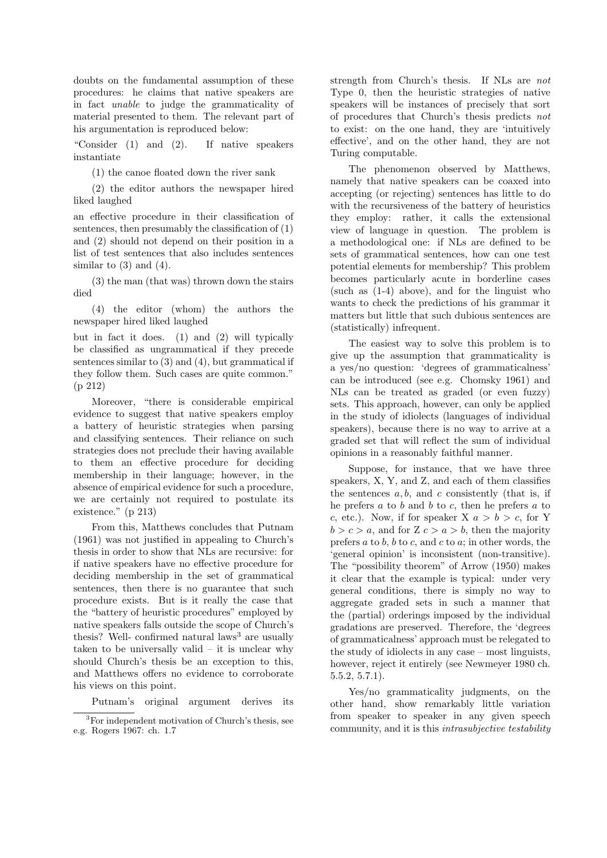doubts on the fundamental assumption of these procedures: he claims that native speakers are in fact unable to judge the grammaticality of material presented to them. The relevant part of his argumentation is reproduced below:

"Consider (1) and (2). If native speakers instantiate

(1) the canoe floated down the river sank

(2) the editor authors the newspaper hired liked laughed

an effective procedure in their classification of sentences, then presumably the classification of (1) and (2) should not depend on their position in a list of test sentences that also includes sentences similar to  $(3)$  and  $(4)$ .

(3) the man (that was) thrown down the stairs died

(4) the editor (whom) the authors the newspaper hired liked laughed

but in fact it does. (1) and (2) will typically be classified as ungrammatical if they precede sentences similar to (3) and (4), but grammatical if they follow them. Such cases are quite common." (p 212)

Moreover, "there is considerable empirical evidence to suggest that native speakers employ a battery of heuristic strategies when parsing and classifying sentences. Their reliance on such strategies does not preclude their having available to them an effective procedure for deciding membership in their language; however, in the absence of empirical evidence for such a procedure, we are certainly not required to postulate its existence." (p 213)

From this, Matthews concludes that Putnam (1961) was not justified in appealing to Church's thesis in order to show that NLs are recursive: for if native speakers have no effective procedure for deciding membership in the set of grammatical sentences, then there is no guarantee that such procedure exists. But is it really the case that the "battery of heuristic procedures" employed by native speakers falls outside the scope of Church's thesis? Well- confirmed natural  $\text{laws}^3$  are usually taken to be universally valid  $-$  it is unclear why should Church's thesis be an exception to this, and Matthews offers no evidence to corroborate his views on this point.

Putnam's original argument derives its

strength from Church's thesis. If NLs are not Type 0, then the heuristic strategies of native speakers will be instances of precisely that sort of procedures that Church's thesis predicts not to exist: on the one hand, they are 'intuitively effective', and on the other hand, they are not Turing computable.

The phenomenon observed by Matthews, namely that native speakers can be coaxed into accepting (or rejecting) sentences has little to do with the recursiveness of the battery of heuristics they employ: rather, it calls the extensional view of language in question. The problem is a methodological one: if NLs are defined to be sets of grammatical sentences, how can one test potential elements for membership? This problem becomes particularly acute in borderline cases (such as (1-4) above), and for the linguist who wants to check the predictions of his grammar it matters but little that such dubious sentences are (statistically) infrequent.

The easiest way to solve this problem is to give up the assumption that grammaticality is a yes/no question: 'degrees of grammaticalness' can be introduced (see e.g. Chomsky 1961) and NLs can be treated as graded (or even fuzzy) sets. This approach, however, can only be applied in the study of idiolects (languages of individual speakers), because there is no way to arrive at a graded set that will reflect the sum of individual opinions in a reasonably faithful manner.

Suppose, for instance, that we have three speakers, X, Y, and Z, and each of them classifies the sentences  $a, b$ , and c consistently (that is, if he prefers  $a$  to  $b$  and  $b$  to  $c$ , then he prefers  $a$  to c, etc.). Now, if for speaker X  $a > b > c$ , for Y  $b > c > a$ , and for  $Z c > a > b$ , then the majority prefers  $a$  to  $b$ ,  $b$  to  $c$ , and  $c$  to  $a$ ; in other words, the 'general opinion' is inconsistent (non-transitive). The "possibility theorem" of Arrow (1950) makes it clear that the example is typical: under very general conditions, there is simply no way to aggregate graded sets in such a manner that the (partial) orderings imposed by the individual gradations are preserved. Therefore, the 'degrees of grammaticalness' approach must be relegated to the study of idiolects in any case – most linguists, however, reject it entirely (see Newmeyer 1980 ch. 5.5.2, 5.7.1).

Yes/no grammaticality judgments, on the other hand, show remarkably little variation from speaker to speaker in any given speech community, and it is this intrasubjective testability

<sup>3</sup>For independent motivation of Church's thesis, see e.g. Rogers 1967: ch. 1.7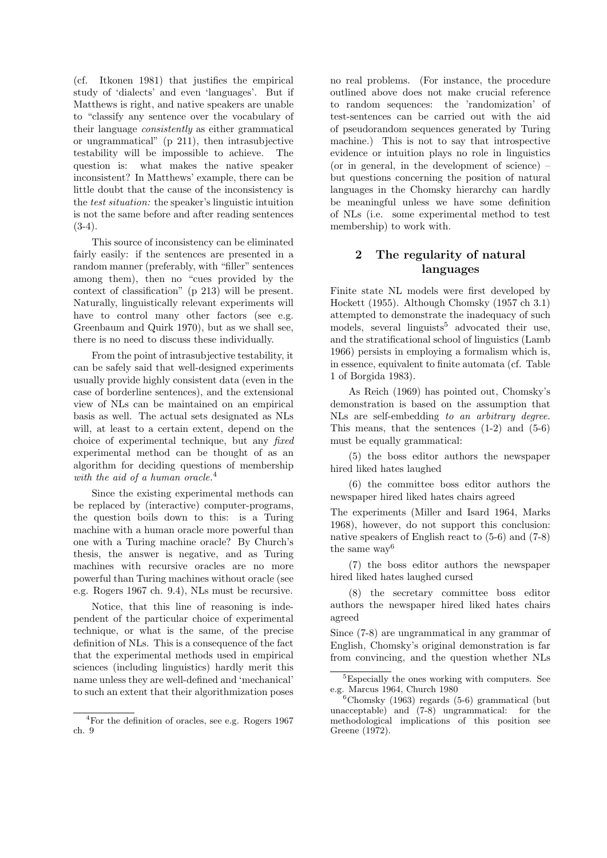(cf. Itkonen 1981) that justifies the empirical study of 'dialects' and even 'languages'. But if Matthews is right, and native speakers are unable to "classify any sentence over the vocabulary of their language consistently as either grammatical or ungrammatical" (p 211), then intrasubjective testability will be impossible to achieve. The question is: what makes the native speaker inconsistent? In Matthews' example, there can be little doubt that the cause of the inconsistency is the test situation: the speaker's linguistic intuition is not the same before and after reading sentences  $(3-4).$ 

This source of inconsistency can be eliminated fairly easily: if the sentences are presented in a random manner (preferably, with "filler" sentences among them), then no "cues provided by the context of classification" (p 213) will be present. Naturally, linguistically relevant experiments will have to control many other factors (see e.g. Greenbaum and Quirk 1970), but as we shall see, there is no need to discuss these individually.

From the point of intrasubjective testability, it can be safely said that well-designed experiments usually provide highly consistent data (even in the case of borderline sentences), and the extensional view of NLs can be maintained on an empirical basis as well. The actual sets designated as NLs will, at least to a certain extent, depend on the choice of experimental technique, but any fixed experimental method can be thought of as an algorithm for deciding questions of membership with the aid of a human oracle.<sup>4</sup>

Since the existing experimental methods can be replaced by (interactive) computer-programs, the question boils down to this: is a Turing machine with a human oracle more powerful than one with a Turing machine oracle? By Church's thesis, the answer is negative, and as Turing machines with recursive oracles are no more powerful than Turing machines without oracle (see e.g. Rogers 1967 ch. 9.4), NLs must be recursive.

Notice, that this line of reasoning is independent of the particular choice of experimental technique, or what is the same, of the precise definition of NLs. This is a consequence of the fact that the experimental methods used in empirical sciences (including linguistics) hardly merit this name unless they are well-defined and 'mechanical' to such an extent that their algorithmization poses no real problems. (For instance, the procedure outlined above does not make crucial reference to random sequences: the 'randomization' of test-sentences can be carried out with the aid of pseudorandom sequences generated by Turing machine.) This is not to say that introspective evidence or intuition plays no role in linguistics (or in general, in the development of science) – but questions concerning the position of natural languages in the Chomsky hierarchy can hardly be meaningful unless we have some definition of NLs (i.e. some experimental method to test membership) to work with.

# 2 The regularity of natural languages

Finite state NL models were first developed by Hockett (1955). Although Chomsky (1957 ch 3.1) attempted to demonstrate the inadequacy of such models, several linguists<sup>5</sup> advocated their use, and the stratificational school of linguistics (Lamb 1966) persists in employing a formalism which is, in essence, equivalent to finite automata (cf. Table 1 of Borgida 1983).

As Reich (1969) has pointed out, Chomsky's demonstration is based on the assumption that NLs are self-embedding to an arbitrary degree. This means, that the sentences  $(1-2)$  and  $(5-6)$ must be equally grammatical:

(5) the boss editor authors the newspaper hired liked hates laughed

(6) the committee boss editor authors the newspaper hired liked hates chairs agreed

The experiments (Miller and Isard 1964, Marks 1968), however, do not support this conclusion: native speakers of English react to (5-6) and (7-8) the same way<sup>6</sup>

(7) the boss editor authors the newspaper hired liked hates laughed cursed

(8) the secretary committee boss editor authors the newspaper hired liked hates chairs agreed

Since (7-8) are ungrammatical in any grammar of English, Chomsky's original demonstration is far from convincing, and the question whether NLs

<sup>4</sup>For the definition of oracles, see e.g. Rogers 1967 ch. 9

<sup>5</sup>Especially the ones working with computers. See e.g. Marcus 1964, Church 1980

 ${}^{6}$ Chomsky (1963) regards (5-6) grammatical (but unacceptable) and (7-8) ungrammatical: for the methodological implications of this position see Greene (1972).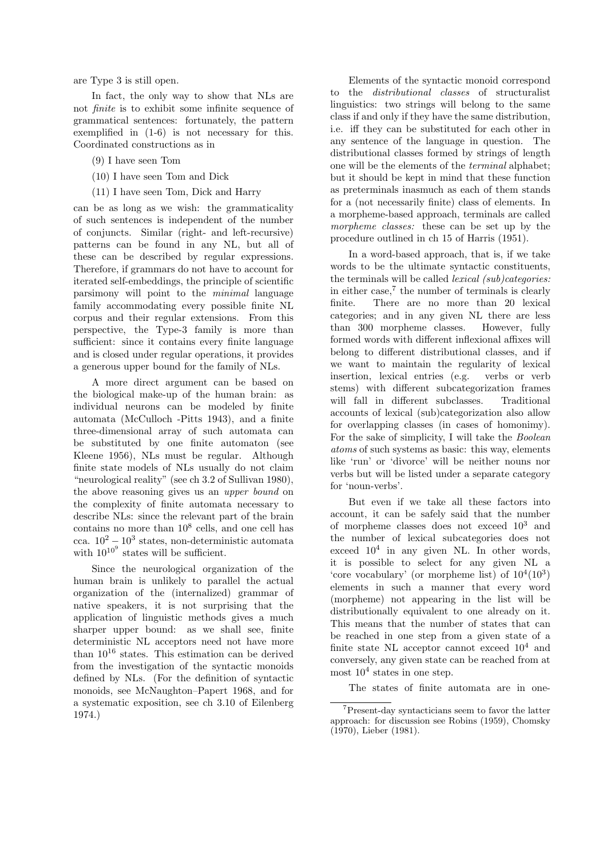are Type 3 is still open.

In fact, the only way to show that NLs are not finite is to exhibit some infinite sequence of grammatical sentences: fortunately, the pattern exemplified in (1-6) is not necessary for this. Coordinated constructions as in

- (9) I have seen Tom
- (10) I have seen Tom and Dick
- (11) I have seen Tom, Dick and Harry

can be as long as we wish: the grammaticality of such sentences is independent of the number of conjuncts. Similar (right- and left-recursive) patterns can be found in any NL, but all of these can be described by regular expressions. Therefore, if grammars do not have to account for iterated self-embeddings, the principle of scientific parsimony will point to the minimal language family accommodating every possible finite NL corpus and their regular extensions. From this perspective, the Type-3 family is more than sufficient: since it contains every finite language and is closed under regular operations, it provides a generous upper bound for the family of NLs.

A more direct argument can be based on the biological make-up of the human brain: as individual neurons can be modeled by finite automata (McCulloch -Pitts 1943), and a finite three-dimensional array of such automata can be substituted by one finite automaton (see Kleene 1956), NLs must be regular. Although finite state models of NLs usually do not claim "neurological reality" (see ch 3.2 of Sullivan 1980), the above reasoning gives us an upper bound on the complexity of finite automata necessary to describe NLs: since the relevant part of the brain contains no more than  $10^8$  cells, and one cell has cca.  $10^2 - 10^3$  states, non-deterministic automata with  $10^{10^9}$  states will be sufficient.

Since the neurological organization of the human brain is unlikely to parallel the actual organization of the (internalized) grammar of native speakers, it is not surprising that the application of linguistic methods gives a much sharper upper bound: as we shall see, finite deterministic NL acceptors need not have more than  $10^{16}$  states. This estimation can be derived from the investigation of the syntactic monoids defined by NLs. (For the definition of syntactic monoids, see McNaughton–Papert 1968, and for a systematic exposition, see ch 3.10 of Eilenberg 1974.)

Elements of the syntactic monoid correspond to the distributional classes of structuralist linguistics: two strings will belong to the same class if and only if they have the same distribution, i.e. iff they can be substituted for each other in any sentence of the language in question. The distributional classes formed by strings of length one will be the elements of the terminal alphabet; but it should be kept in mind that these function as preterminals inasmuch as each of them stands for a (not necessarily finite) class of elements. In a morpheme-based approach, terminals are called morpheme classes: these can be set up by the procedure outlined in ch 15 of Harris (1951).

In a word-based approach, that is, if we take words to be the ultimate syntactic constituents, the terminals will be called lexical (sub)categories: in either  $case<sup>7</sup>$ , the number of terminals is clearly finite. There are no more than 20 lexical categories; and in any given NL there are less than 300 morpheme classes. However, fully formed words with different inflexional affixes will belong to different distributional classes, and if we want to maintain the regularity of lexical insertion, lexical entries (e.g. verbs or verb stems) with different subcategorization frames will fall in different subclasses. Traditional accounts of lexical (sub)categorization also allow for overlapping classes (in cases of homonimy). For the sake of simplicity, I will take the Boolean atoms of such systems as basic: this way, elements like 'run' or 'divorce' will be neither nouns nor verbs but will be listed under a separate category for 'noun-verbs'.

But even if we take all these factors into account, it can be safely said that the number of morpheme classes does not exceed  $10^3$  and the number of lexical subcategories does not exceed  $10^4$  in any given NL. In other words, it is possible to select for any given NL a 'core vocabulary' (or morpheme list) of  $10^4(10^3)$ elements in such a manner that every word (morpheme) not appearing in the list will be distributionally equivalent to one already on it. This means that the number of states that can be reached in one step from a given state of a finite state NL acceptor cannot exceed  $10^4$  and conversely, any given state can be reached from at most  $10^4$  states in one step.

The states of finite automata are in one-

<sup>7</sup>Present-day syntacticians seem to favor the latter approach: for discussion see Robins (1959), Chomsky (1970), Lieber (1981).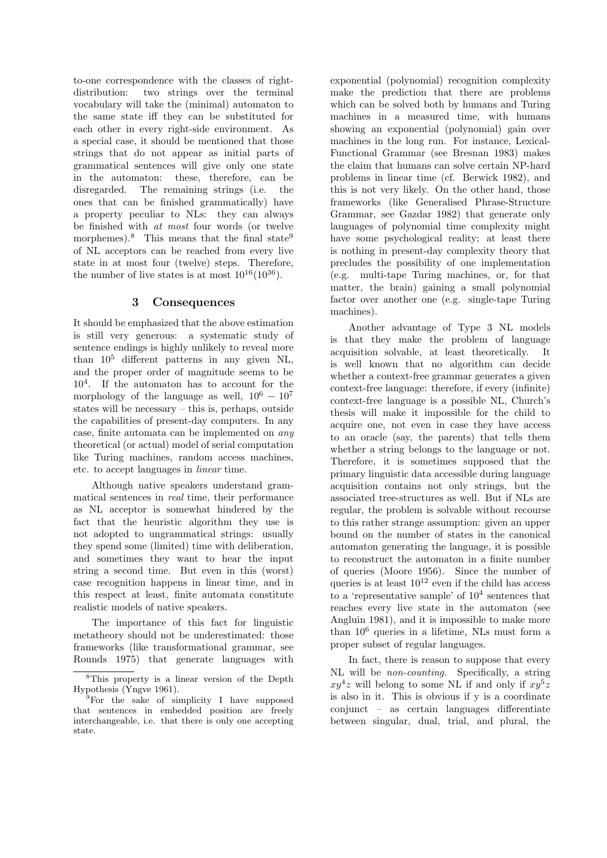to-one correspondence with the classes of rightdistribution: two strings over the terminal vocabulary will take the (minimal) automaton to the same state iff they can be substituted for each other in every right-side environment. As a special case, it should be mentioned that those strings that do not appear as initial parts of grammatical sentences will give only one state in the automaton: these, therefore, can be disregarded. The remaining strings (i.e. the ones that can be finished grammatically) have a property peculiar to NLs: they can always be finished with at most four words (or twelve morphemes).<sup>8</sup> This means that the final state<sup>9</sup> of NL acceptors can be reached from every live state in at most four (twelve) steps. Therefore, the number of live states is at most  $10^{16}(10^{36})$ .

## 3 Consequences

It should be emphasized that the above estimation is still very generous: a systematic study of sentence endings is highly unlikely to reveal more than  $10^5$  different patterns in any given NL, and the proper order of magnitude seems to be 10<sup>4</sup> . If the automaton has to account for the morphology of the language as well,  $10^6 - 10^7$ states will be necessary – this is, perhaps, outside the capabilities of present-day computers. In any case, finite automata can be implemented on any theoretical (or actual) model of serial computation like Turing machines, random access machines, etc. to accept languages in linear time.

Although native speakers understand grammatical sentences in real time, their performance as NL acceptor is somewhat hindered by the fact that the heuristic algorithm they use is not adopted to ungrammatical strings: usually they spend some (limited) time with deliberation, and sometimes they want to hear the input string a second time. But even in this (worst) case recognition happens in linear time, and in this respect at least, finite automata constitute realistic models of native speakers.

The importance of this fact for linguistic metatheory should not be underestimated: those frameworks (like transformational grammar, see Rounds 1975) that generate languages with exponential (polynomial) recognition complexity make the prediction that there are problems which can be solved both by humans and Turing machines in a measured time, with humans showing an exponential (polynomial) gain over machines in the long run. For instance, Lexical-Functional Grammar (see Bresnan 1983) makes the claim that humans can solve certain NP-hard problems in linear time (cf. Berwick 1982), and this is not very likely. On the other hand, those frameworks (like Generalised Phrase-Structure Grammar, see Gazdar 1982) that generate only languages of polynomial time complexity might have some psychological reality; at least there is nothing in present-day complexity theory that precludes the possibility of one implementation (e.g. multi-tape Turing machines, or, for that matter, the brain) gaining a small polynomial factor over another one (e.g. single-tape Turing machines).

Another advantage of Type 3 NL models is that they make the problem of language acquisition solvable, at least theoretically. It is well known that no algorithm can decide whether a context-free grammar generates a given context-free language: therefore, if every (infinite) context-free language is a possible NL, Church's thesis will make it impossible for the child to acquire one, not even in case they have access to an oracle (say, the parents) that tells them whether a string belongs to the language or not. Therefore, it is sometimes supposed that the primary linguistic data accessible during language acquisition contains not only strings, but the associated tree-structures as well. But if NLs are regular, the problem is solvable without recourse to this rather strange assumption: given an upper bound on the number of states in the canonical automaton generating the language, it is possible to reconstruct the automaton in a finite number of queries (Moore 1956). Since the number of queries is at least  $10^{12}$  even if the child has access to a 'representative sample' of  $10^4$  sentences that reaches every live state in the automaton (see Angluin 1981), and it is impossible to make more than 10<sup>6</sup> queries in a lifetime, NLs must form a proper subset of regular languages.

In fact, there is reason to suppose that every NL will be non-counting. Specifically, a string  $xy^4z$  will belong to some NL if and only if  $xy^5z$ is also in it. This is obvious if y is a coordinate conjunct – as certain languages differentiate between singular, dual, trial, and plural, the

<sup>8</sup>This property is a linear version of the Depth Hypothesis (Yngve 1961).

<sup>&</sup>lt;sup>9</sup>For the sake of simplicity I have supposed that sentences in embedded position are freely interchangeable, i.e. that there is only one accepting state.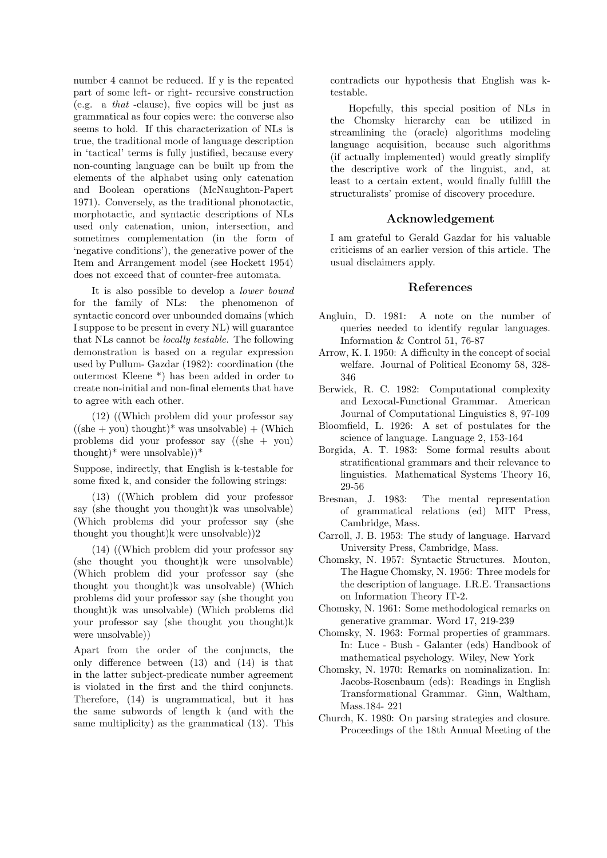number 4 cannot be reduced. If y is the repeated part of some left- or right- recursive construction (e.g. a that -clause), five copies will be just as grammatical as four copies were: the converse also seems to hold. If this characterization of NLs is true, the traditional mode of language description in 'tactical' terms is fully justified, because every non-counting language can be built up from the elements of the alphabet using only catenation and Boolean operations (McNaughton-Papert 1971). Conversely, as the traditional phonotactic, morphotactic, and syntactic descriptions of NLs used only catenation, union, intersection, and sometimes complementation (in the form of 'negative conditions'), the generative power of the Item and Arrangement model (see Hockett 1954) does not exceed that of counter-free automata.

It is also possible to develop a lower bound for the family of NLs: the phenomenon of syntactic concord over unbounded domains (which I suppose to be present in every NL) will guarantee that NLs cannot be locally testable. The following demonstration is based on a regular expression used by Pullum- Gazdar (1982): coordination (the outermost Kleene \*) has been added in order to create non-initial and non-final elements that have to agree with each other.

(12) ((Which problem did your professor say  $((she + you)$  thought)<sup>\*</sup> was unsolvable) + (Which problems did your professor say ((she + you) thought)\* were unsolvable $)$ \*

Suppose, indirectly, that English is k-testable for some fixed k, and consider the following strings:

(13) ((Which problem did your professor say (she thought you thought)k was unsolvable) (Which problems did your professor say (she thought you thought)k were unsolvable))2

(14) ((Which problem did your professor say (she thought you thought)k were unsolvable) (Which problem did your professor say (she thought you thought)k was unsolvable) (Which problems did your professor say (she thought you thought)k was unsolvable) (Which problems did your professor say (she thought you thought)k were unsolvable))

Apart from the order of the conjuncts, the only difference between (13) and (14) is that in the latter subject-predicate number agreement is violated in the first and the third conjuncts. Therefore, (14) is ungrammatical, but it has the same subwords of length k (and with the same multiplicity) as the grammatical (13). This contradicts our hypothesis that English was ktestable.

Hopefully, this special position of NLs in the Chomsky hierarchy can be utilized in streamlining the (oracle) algorithms modeling language acquisition, because such algorithms (if actually implemented) would greatly simplify the descriptive work of the linguist, and, at least to a certain extent, would finally fulfill the structuralists' promise of discovery procedure.

## Acknowledgement

I am grateful to Gerald Gazdar for his valuable criticisms of an earlier version of this article. The usual disclaimers apply.

#### References

- Angluin, D. 1981: A note on the number of queries needed to identify regular languages. Information & Control 51, 76-87
- Arrow, K. I. 1950: A difficulty in the concept of social welfare. Journal of Political Economy 58, 328- 346
- Berwick, R. C. 1982: Computational complexity and Lexocal-Functional Grammar. American Journal of Computational Linguistics 8, 97-109
- Bloomfield, L. 1926: A set of postulates for the science of language. Language 2, 153-164
- Borgida, A. T. 1983: Some formal results about stratificational grammars and their relevance to linguistics. Mathematical Systems Theory 16, 29-56
- Bresnan, J. 1983: The mental representation of grammatical relations (ed) MIT Press, Cambridge, Mass.
- Carroll, J. B. 1953: The study of language. Harvard University Press, Cambridge, Mass.
- Chomsky, N. 1957: Syntactic Structures. Mouton, The Hague Chomsky, N. 1956: Three models for the description of language. I.R.E. Transactions on Information Theory IT-2.
- Chomsky, N. 1961: Some methodological remarks on generative grammar. Word 17, 219-239
- Chomsky, N. 1963: Formal properties of grammars. In: Luce - Bush - Galanter (eds) Handbook of mathematical psychology. Wiley, New York
- Chomsky, N. 1970: Remarks on nominalization. In: Jacobs-Rosenbaum (eds): Readings in English Transformational Grammar. Ginn, Waltham, Mass.184- 221
- Church, K. 1980: On parsing strategies and closure. Proceedings of the 18th Annual Meeting of the